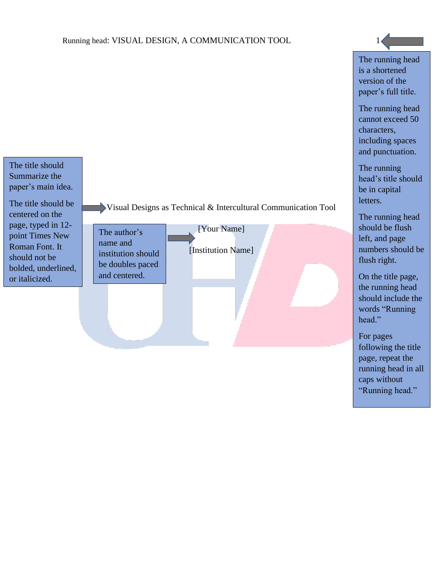The title should Summarize the paper's main idea.

The title should be centered on the page, typed in 12 point Times New Roman Font. It should not be bolded, underlined, or italicized.

Visual Designs as Technical & Intercultural Communication Tool

The author's name and institution should be doubles paced and centered.

[Institution Name]

[Your Name]

The running head is a shortened version of the paper's full title.

The running head cannot exceed 50 characters, including spaces and punctuation.

The running head's title should be in capital letters.

The running head should be flush left, and page numbers should be flush right.

On the title page, the running head should include the words "Running head."

For pages following the title page, repeat the running head in all caps without "Running head."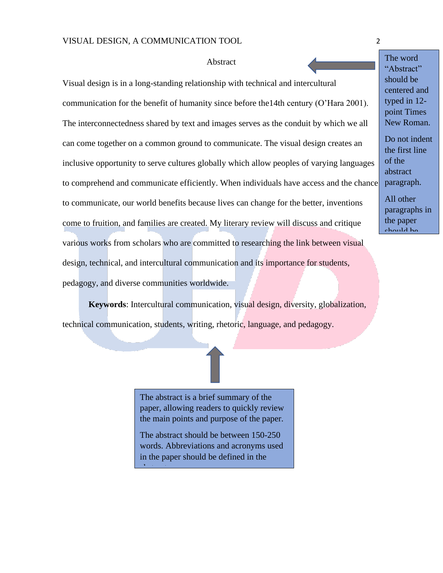## **Abstract**

Visual design is in a long-standing relationship with technical and intercultural communication for the benefit of humanity since before the14th century (O'Hara 2001). The interconnectedness shared by text and images serves as the conduit by which we all can come together on a common ground to communicate. The visual design creates an inclusive opportunity to serve cultures globally which allow peoples of varying languages to comprehend and communicate efficiently. When individuals have access and the chance to communicate, our world benefits because lives can change for the better, inventions come to fruition, and families are created. My literary review will discuss and critique various works from scholars who are committed to researching the link between visual design, technical, and intercultural communication and its importance for students, pedagogy, and diverse communities worldwide.

**Keywords**: Intercultural communication, visual design, diversity, globalization, technical communication, students, writing, rhetoric, language, and pedagogy.

> The abstract is a brief summary of the paper, allowing readers to quickly review the main points and purpose of the paper.

> The abstract should be between 150-250 words. Abbreviations and acronyms used in the paper should be defined in the

abstract.

The word "Abstract" should be centered and typed in 12 point Times New Roman.

Do not indent the first line of the abstract paragraph. All other paragraphs in the paper should be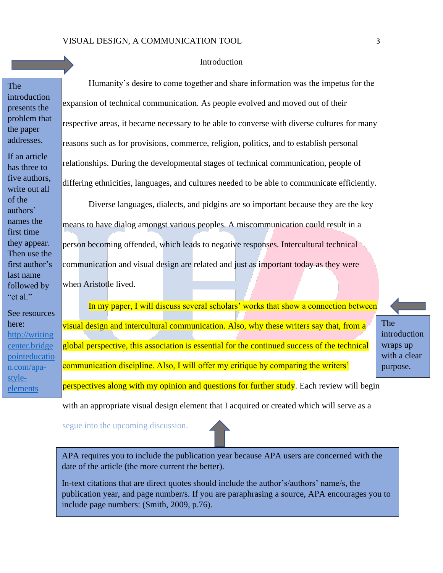## Introduction

The introduction presents the problem that the paper addresses.

If an article has three to five authors, write out all of the authors' names the first time they appear. Then use the first author's last name followed by "et al."

See resources here: [http://writing](http://writingcenter.bridgepointeducation.com/apa-style-elements) [center.bridge](http://writingcenter.bridgepointeducation.com/apa-style-elements) [pointeducatio](http://writingcenter.bridgepointeducation.com/apa-style-elements) [n.com/apa](http://writingcenter.bridgepointeducation.com/apa-style-elements)[style](http://writingcenter.bridgepointeducation.com/apa-style-elements)[elements](http://writingcenter.bridgepointeducation.com/apa-style-elements)

Humanity's desire to come together and share information was the impetus for the expansion of technical communication. As people evolved and moved out of their respective areas, it became necessary to be able to converse with diverse cultures for many reasons such as for provisions, commerce, religion, politics, and to establish personal relationships. During the developmental stages of technical communication, people of differing ethnicities, languages, and cultures needed to be able to communicate efficiently.

Diverse languages, dialects, and pidgins are so important because they are the key means to have dialog amongst various peoples. A miscommunication could result in a person becoming offended, which leads to negative responses. Intercultural technical communication and visual design are related and just as important today as they were when Aristotle lived.

In my paper, I will discuss several scholars' works that show a connection between visual design and intercultural communication. Also, why these writers say that, from a global perspective, this association is essential for the continued success of the technical communication discipline. Also, I will offer my critique by comparing the writers' perspectives along with my opinion and questions for further study. Each review will begin

The introduction wraps up with a clear purpose.

with an appropriate visual design element that I acquired or created which will serve as a

segue into the upcoming discussion.

APA requires you to include the publication year because APA users are concerned with the date of the article (the more current the better).

In-text citations that are direct quotes should include the author's/authors' name/s, the publication year, and page number/s. If you are paraphrasing a source, APA encourages you to include page numbers: (Smith, 2009, p.76).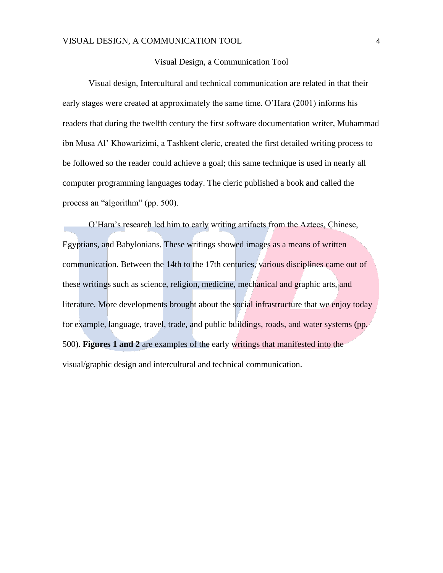## Visual Design, a Communication Tool

Visual design, Intercultural and technical communication are related in that their early stages were created at approximately the same time. O'Hara (2001) informs his readers that during the twelfth century the first software documentation writer, Muhammad ibn Musa Al' Khowarizimi, a Tashkent cleric, created the first detailed writing process to be followed so the reader could achieve a goal; this same technique is used in nearly all computer programming languages today. The cleric published a book and called the process an "algorithm" (pp. 500).

O'Hara's research led him to early writing artifacts from the Aztecs, Chinese, Egyptians, and Babylonians. These writings showed images as a means of written communication. Between the 14th to the 17th centuries, various disciplines came out of these writings such as science, religion, medicine, mechanical and graphic arts, and literature. More developments brought about the social infrastructure that we enjoy today for example, language, travel, trade, and public buildings, roads, and water systems (pp. 500). **Figures 1 and 2** are examples of the early writings that manifested into the visual/graphic design and intercultural and technical communication.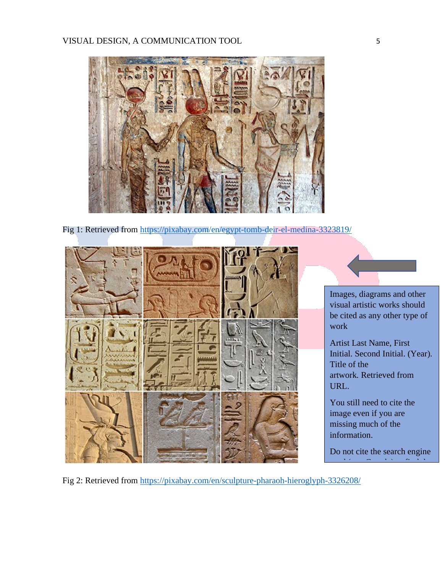

Fig 1: Retrieved from<https://pixabay.com/en/egypt-tomb-deir-el-medina-3323819/>





visual artistic works should be cited as any other type of work

Artist Last Name, First Initial. Second Initial. (Year). Title of the artwork*.* Retrieved from URL.

You still need to cite the image even if you are missing much of the information.

Do not cite the search engine used (e.g. Google) to find the

Fig 2: Retrieved from <https://pixabay.com/en/sculpture-pharaoh-hieroglyph-3326208/>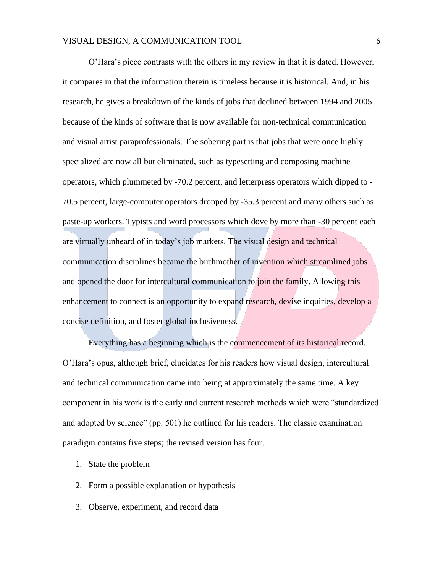O'Hara's piece contrasts with the others in my review in that it is dated. However, it compares in that the information therein is timeless because it is historical. And, in his research, he gives a breakdown of the kinds of jobs that declined between 1994 and 2005 because of the kinds of software that is now available for non-technical communication and visual artist paraprofessionals. The sobering part is that jobs that were once highly specialized are now all but eliminated, such as typesetting and composing machine operators, which plummeted by -70.2 percent, and letterpress operators which dipped to - 70.5 percent, large-computer operators dropped by -35.3 percent and many others such as paste-up workers. Typists and word processors which dove by more than -30 percent each are virtually unheard of in today's job markets. The visual design and technical communication disciplines became the birthmother of invention which streamlined jobs and opened the door for intercultural communication to join the family. Allowing this enhancement to connect is an opportunity to expand research, devise inquiries, develop a concise definition, and foster global inclusiveness.

Everything has a beginning which is the commencement of its historical record. O'Hara's opus, although brief, elucidates for his readers how visual design, intercultural and technical communication came into being at approximately the same time. A key component in his work is the early and current research methods which were "standardized and adopted by science" (pp. 501) he outlined for his readers. The classic examination paradigm contains five steps; the revised version has four.

- 1. State the problem
- 2. Form a possible explanation or hypothesis
- 3. Observe, experiment, and record data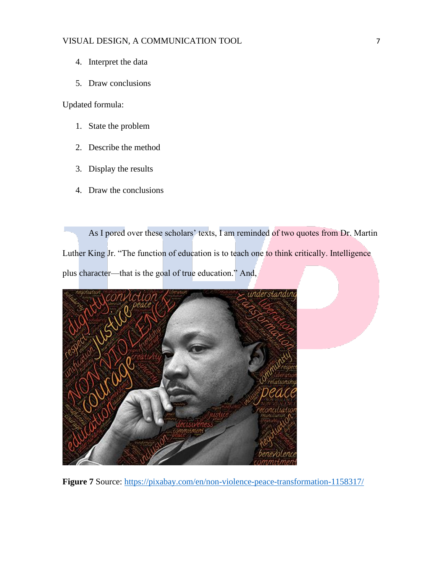- 4. Interpret the data
- 5. Draw conclusions

Updated formula:

- 1. State the problem
- 2. Describe the method
- 3. Display the results
- 4. Draw the conclusions

As I pored over these scholars' texts, I am reminded of two quotes from Dr. Martin Luther King Jr. "The function of education is to teach one to think critically. Intelligence plus character—that is the goal of true education." And,



**Figure 7** Source: <https://pixabay.com/en/non-violence-peace-transformation-1158317/>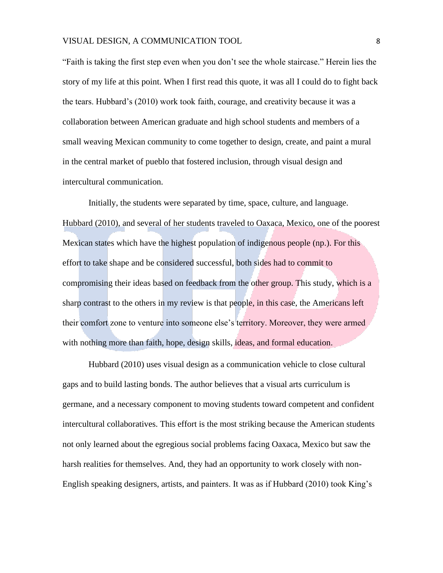"Faith is taking the first step even when you don't see the whole staircase." Herein lies the story of my life at this point. When I first read this quote, it was all I could do to fight back the tears. Hubbard's (2010) work took faith, courage, and creativity because it was a collaboration between American graduate and high school students and members of a small weaving Mexican community to come together to design, create, and paint a mural in the central market of pueblo that fostered inclusion, through visual design and intercultural communication.

Initially, the students were separated by time, space, culture, and language. Hubbard (2010), and several of her students traveled to Oaxaca, Mexico, one of the poorest Mexican states which have the highest population of indigenous people (np.). For this effort to take shape and be considered successful, both sides had to commit to compromising their ideas based on feedback from the other group. This study, which is a sharp contrast to the others in my review is that people, in this case, the Americans left their comfort zone to venture into someone else's territory. Moreover, they were armed with nothing more than faith, hope, design skills, ideas, and formal education.

Hubbard (2010) uses visual design as a communication vehicle to close cultural gaps and to build lasting bonds. The author believes that a visual arts curriculum is germane, and a necessary component to moving students toward competent and confident intercultural collaboratives. This effort is the most striking because the American students not only learned about the egregious social problems facing Oaxaca, Mexico but saw the harsh realities for themselves. And, they had an opportunity to work closely with non-English speaking designers, artists, and painters. It was as if Hubbard (2010) took King's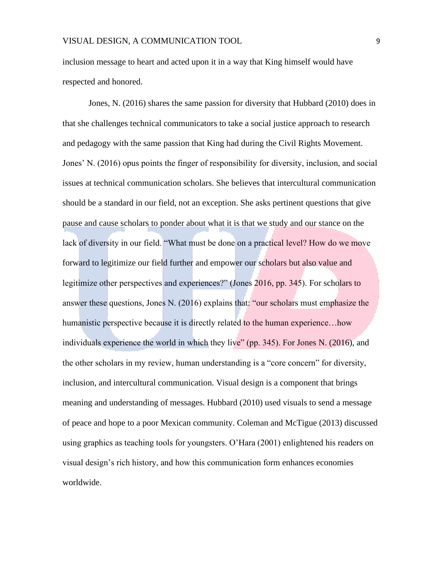inclusion message to heart and acted upon it in a way that King himself would have respected and honored.

Jones, N. (2016) shares the same passion for diversity that Hubbard (2010) does in that she challenges technical communicators to take a social justice approach to research and pedagogy with the same passion that King had during the Civil Rights Movement. Jones' N. (2016) opus points the finger of responsibility for diversity, inclusion, and social issues at technical communication scholars. She believes that intercultural communication should be a standard in our field, not an exception. She asks pertinent questions that give pause and cause scholars to ponder about what it is that we study and our stance on the lack of diversity in our field. "What must be done on a practical level? How do we move forward to legitimize our field further and empower our scholars but also value and legitimize other perspectives and experiences?" (Jones 2016, pp. 345). For scholars to answer these questions, Jones N. (2016) explains that: "our scholars must emphasize the humanistic perspective because it is directly related to the human experience...how individuals experience the world in which they live" (pp. 345). For Jones N. (2016), and the other scholars in my review, human understanding is a "core concern" for diversity, inclusion, and intercultural communication. Visual design is a component that brings meaning and understanding of messages. Hubbard (2010) used visuals to send a message of peace and hope to a poor Mexican community. Coleman and McTigue (2013) discussed using graphics as teaching tools for youngsters. O'Hara (2001) enlightened his readers on visual design's rich history, and how this communication form enhances economies worldwide.